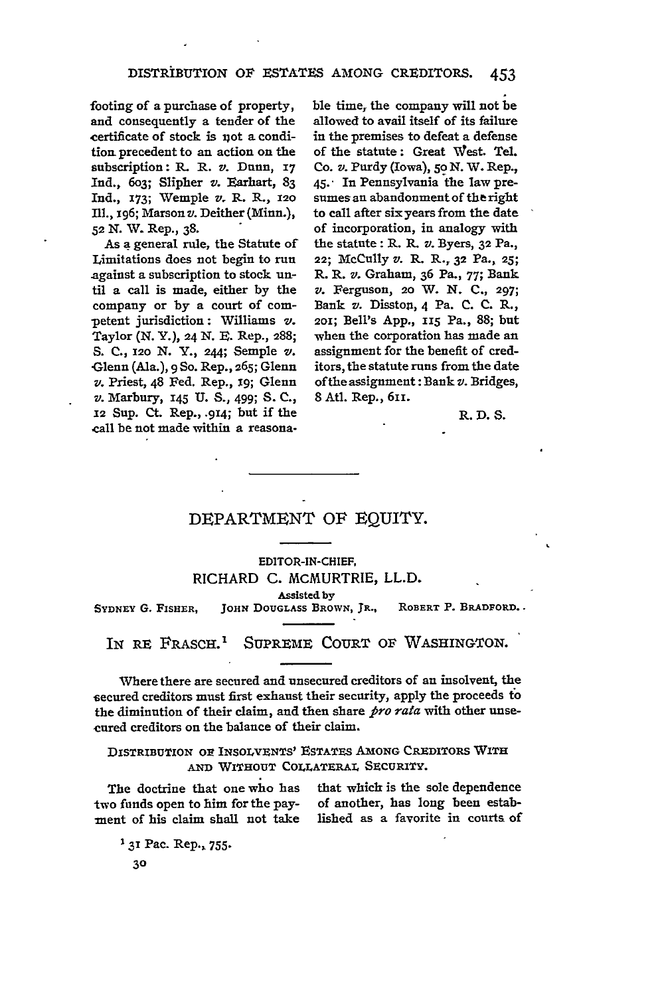footing of a purchase of property, and consequently a tender of the certificate of stock is not a condition precedent to an action on the subscription: R. R. *v.* Dunn, **17 Ind., 6o3;** Slipher v. Barhart, **83 Ind., 173;** Wemple *v.* R. **R., 120** Ill., **i96;** Marson v. Deither (Minn.), **52 N. W.** Rep., **38.**

As a general rule, the Statute of Limitations does not begin to run against a subscription to stock until a call is made, either **by** the company or **by** a court of com petent jurisdiction: Williams  $v$ . Taylor **(N.** Y.), **24 N. R.** Rep., **288;** S. C., 120 N. Y., 244; Semple v. Glenn (Ala.), 9 So. Rep., **265;** Glenn v. Priest, 48 Fed. Rep., **x9;** Glenn **a'.** M-arbury, *i45* **U. S.,** 499; **S. C., 12 Sup.** Ct. Rep., .914; but if the call be not made within a reasonable time, the company will not be allowed to avail itself of its failure in the premises to defeat a defense of the statute **:** Great West. Tel. Co. v. Purdy (Iowa), **5o N.** W. Rep., **45.** In Pennsylvania the law presumes an abandonmentof the right to call after six years from the date of incorporation, in analogy with the statute: R. R. *v.* Byers, **32** Pa., **22;** McCully *v.* R. R., **32** Pa., **25;** R. R. v. Graham, **36** Pa., **77;** Bank v. Ferguson, **20** W. **N. C., 297;** Bank v. Disston, 4 Pa. C. C. R., **201;** Bell's **App., II5** Pa., **88;** but when the corporation has made an assignment for the benefit of creditors, the statute runs from the date of the assignment: Bank *v.* Bridges, 8 All. Rep., 61i.

R. **D. S.**

## DEPARTMENT OF EQUITY.

# EDITOR-IN-CHIEF,

RICHARD **C.** MCMURTRIE, LL.D.

Assisted **by**

**SYDNEY G. FISHER, JOHN DOUGLASS BROWN,** JR., **ROBERT** P. **BRADFORD..**

IN RE FRASCH.<sup>1</sup> SUPREME COURT OF WASHINGTON.

Where there are secured and unsecured creditors of an insolvent, the secured creditors **must first** exhaust their security, apply the proceeds to the diminution of their claim, and then share *pro rata* with other unsecured creditors on the balance of their claim.

**DISTRIBUTION OF INSOLVENTS' ESTATES AMONG CREDITORS WITH** AND WITHOUT COLLATERAL SECURITY.

The doctrine that one who has that which is the sole dependence two funds open to him for the pay- of another, has long been estab**inent of** his **claim** shall not take lished as a favorite in courts of

**<sup>1.31</sup>** Pac. Rep., **755-**30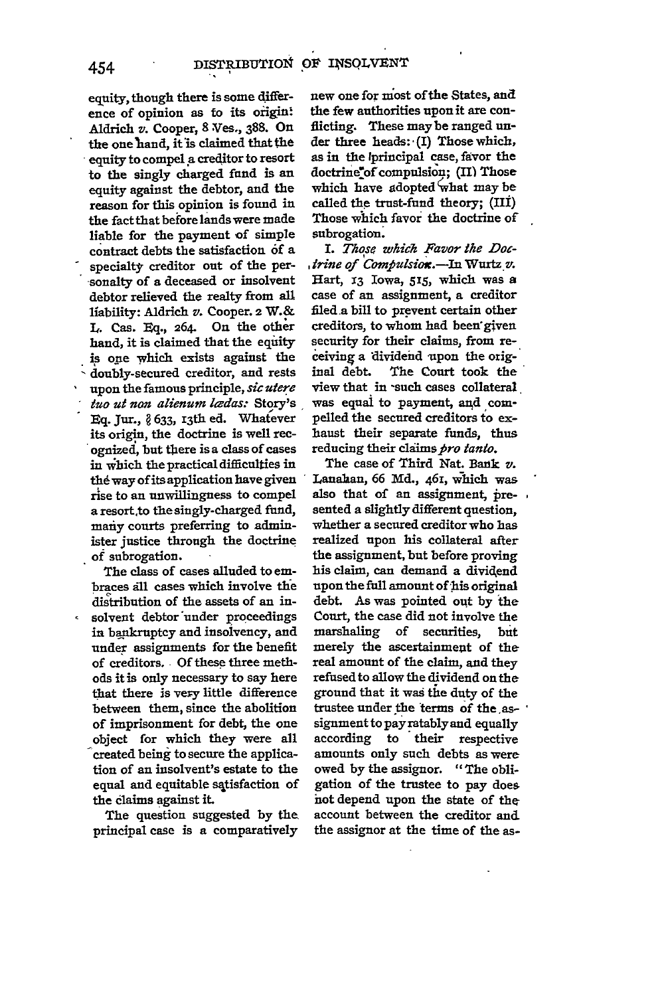equity, though there is some difference of opinion as to its origin. Aldrich *v.* Cooper, **8** Ves., **388. On** the one hand, it is claimed that the equity to compel **.a** creditor to resort to the singly charged fund is an equity against the debtor, and the reason for this opinion is found in the fact that before lands were made liable for the payment of simple contract debts the satisfaction **of** a specialty creditor out of the personalty of a deceased or insolvent debtor relieved the realty from all liability: Aldrich *v.* Cooper. **2 W.& L.** Cas. **Eq., 264.** On the other hand, it is claimed that the equity is one which exists against the doubly-secured creditor, and rests upon the famous principle, *sic utere luo ut non alienum ladas:* Story's **\_q. Jur., 633,** I3 th ed. Whatever its origin, the doctrine is well recognized, but there is a class of cases in which the practical difficulties in the way of its application have given rise to an unwillingness to compel a resort to the singly-charged fund, many courts preferring to administer justice through the doctrine **of** subrogation.

The class of cases alluded to embraces all cases which involve the distribution of the assets of an insolvent debtor under proceedings in bankruptcy and insolvency, and under assignments for the benefit **of** creditors. **Of** these three methods it is only necessary to say here that there is very little difference between them, since the abolition of imprisonment for debt, the one object for which they were all created being to secure the application of an insolvent's estate to the equal and equitable satisfaction of the claims against it.

The question suggested **by** the principal case is a comparatively

new one for most of the States, and the few authorities upon it are conflicting. These maybe ranged under three heads: (I) Those which, as in the 1principal case, favor the doctrine'of compulsion; (II) Those which have adopted what may be called the trust-fund theory; (III) Those which favor the doctrine of subrogation.

*I. Those which Favor the Doctrine of Corpeulsiox.-In* Wurtz **v.** Hart, **x3** Iowa, **515,** which was **a** case of an assignment, a creditor filed a bill to prevent certain other creditors, to whom had been given security for their claims, from receiving a dividend upon the original debt. The Court took the view that in -such cases collateral was equal to payment, **and** compelled the secured creditors to exhaust their separate funds, thus reducing their *claims pro tanto.*

The case of Third Nat. Bank v. Lanahan, **66 Md., 461,** which was also that of an assignment, presented a slightly different question, whether a secured creditor who has realized upon his collateral after the assignment, but before proving his claim, can demand a dividend upon the full amount of his original debt. As was pointed out **by** the Court, the case did not involve the marshaling of securities, but merely the ascertainment of the real amount of the claim, and they refused to allow the dividend on the ground that it **was the** duty of the trustee under the terms of the .assignment to pay ratably and equally according to their respective amounts only such debts as were owed **by** the assignor. "The obligation of the trustee to pay does **hot** depend upon the state of the account between the creditor and. the assignor at the time of the as-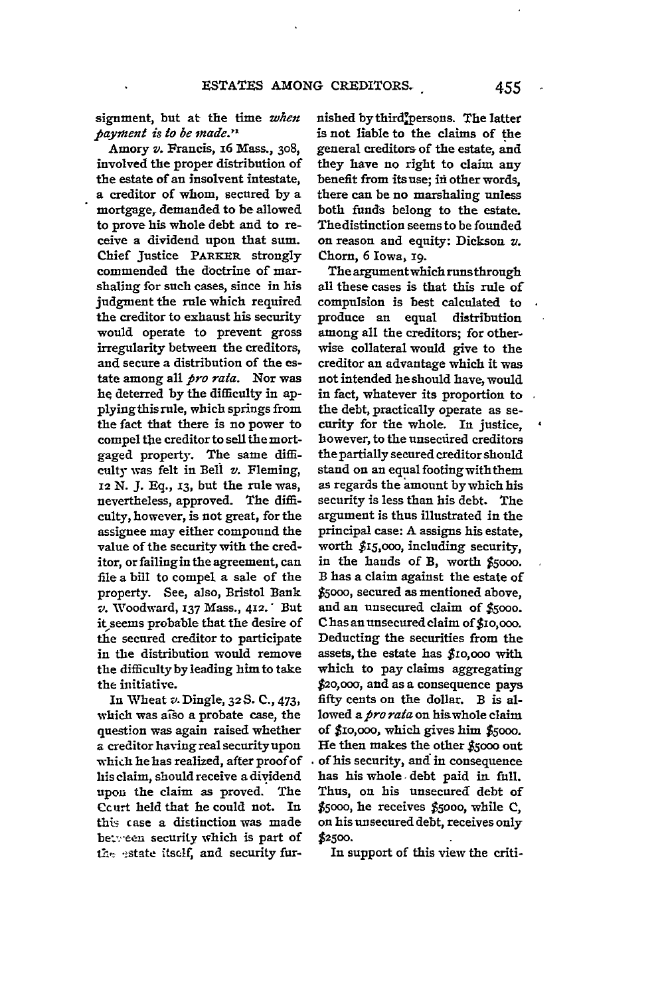#### signment, but at the time *when payment is to be inade."1*

Amory v. Francis, 16 Mass., 308, involved the proper distribution of the estate of an insolvent intestate, a creditor of whom, secured **by** a mortgage, demanded to be allowed to prove his whole debt and to receive a dividend upon that sum. Chief Justice PARKER strongly commended the doctrine of marshaling for such cases, since in his judgment the rule which required the creditor to exhaust his security would operate to prevent gross irregularity between the creditors, and secure a distribution of the estate among all *pro rata.* Nor was **he** deterred **by** the difficulty in applying this rule, which springs from the fact that there is no power to compel the creditor to sell the mortgaged property. The same difficulty was felt in Bell v. Fleming, 12 N. J. Eq., **13,** but the rule was, nevertheless, approved. The difficulty, however, is not great, for the assignee may either compound the value of the security with the creditor, or failingin the agreement, can file a bill to compel a sale of the property. See, also, Bristol Bank v. Woodward, **137** Mass., **412.'** But it seems probable that the desire of the secured creditor to participate in the distribution would remove the difficulty by leading him to take the initiative.

In Wheat *v.* Dingle, 32S. C., 473, which was aiso a probate case, the question was again raised whether a creditor having real securityupon which he has realized, after proof of his claim, should receive a dividend upon the claim as proved. The Ccurt held that he could not. In this case a distinction was made between security which is part of the estate itself, and security fur-

 $\ddot{\phantom{a}}$ 

nished **by** third~persons. The latter is not liable to the claims of the general creditors of the estate, and they have no right to claim any benefit from its use; **ifi** other words, there can be no marshaling unless both funds belong to the estate. Thedistinction seems to be founded on reason and equity: Dickson v. Chorn, 6 Iowa, **19.**

The argumentwhich runs through all these cases is that this rule of compulsion is best calculated to produce an equal distribution among all the creditors; for otherwise collateral would give to the creditor an advantage which it was not intended he should have, would in fact, whatever its proportion to the debt, practically operate as security for the whole. In justice, however, to the unsecured creditors the partially secured creditor should stand on an equal footing with them as regards the amount **by** which his security is less than his debt. The argument is thus illustrated in the principal case: A assigns his estate, worth **\$15,ooo,** including security, in the hands of B, worth **\$5ooo.** B has a claim against the estate of \$5ooo, secured as mentioned above, and an unsecured claim of **\$5ooo. C** has an unsecured claim of \$io,ooo. Deducting the securities from the assets, the estate has \$ro,ooo with which to pay claims aggregating **\$2o,ooo,** and as a consequence pays **fifty** cents on the dollar. B is allowed a *pro rata* on his whole claim of \$io,ooo, which gives him \$5ooo. He then makes the other \$5ooo out of his security, and in consequence has his whole. debt paid in full. Thus, on his unsecured debt of **\$5ooo,** he receives **\$5ooo,** while **C,** on his unsecured debt, receives only **\$2500.**

In support of this view the criti-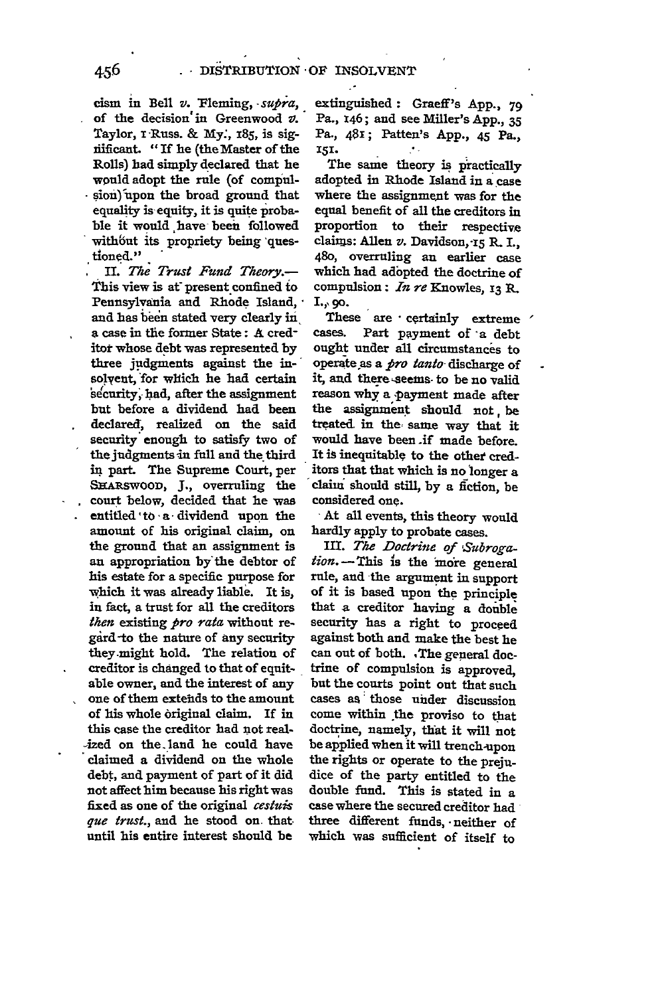cism in Bell v. Fleming, supra, of the decision' in Greenwood **v.** Taylor, i-Russ. **& My:,** x85, is sigfificant. "If he (theMaster of the Rolls) had simply declared that he would adopt the rule (of compul sion) upon the broad ground that equality is equity, it is quite probable it would have been followed without its propriety being questioned."

, II. *The Trust Fund Theory.-* This view is at present confined to Pennsylvania and Rhode Island, and has been stated very clearly in **a** case in **tle** former State: A creditor whose debt was represented **by** three judgments against the insolyent, for which he had certain security, had, after the assignment but before a dividend had been declared, realized on the said security enough to satisfy two of the judgments in full and the third in part. The Supreme Court, per SHARSWOOD, J., overruling the court below, decided that he was entitled 'to  $\cdot$  a-dividend upon the amount of his original claim, on the ground that an assignment is an appropriation by the debtor of his estate for a specific purpose for which it was already liable. It is, in fact, a trust for all the creditors *then* existing *pro rata* without regard-to the nature of any security they.might hold. The relation of creditor is changed to that of equitable owner, and the interest of any one of them extends to the amount of his whole original claim. If in this case the creditor had not realized on the.land he could have claimed a dividend on the whole debt, and payment of part of it did not affect him because his right was fixed as one of the original *cestuis que trust.,* and he stood on. that until his entire interest should be

extinguished: Graeff's **App., 79** Pa., 146; and see Miller's **App., 35** Pa., 481; Patten's **App.,** 45 Pa., **151.**

The same theory is practically adopted in Rhode Island in a case where the assignment was for the equal benefit of all the creditors in proportion to their respective claims: Allen *v.* Davidson,-15 **P.** I., 480, overruling an earlier case which had adopted the doctrine of compulsion: *In re* Knowles, **13** R. **1.,9o.**

These are certainly extreme cases. Part payment of *"a* debt ought under all circumstances to operate as a *pro tanto* discharge of it, and there seems to be no valid<br>reason why a payment made after the assignment should not, be treated in the same way that it would have been -if made before. It is inequitable to the other creditors that that which is no 'longer a claim should still, **by** a fiction, be considered one.

**-**At all events, this theory would hardly apply to probate cases.

*II. The Doctrine of 'Subroga*tion.-This is the more general rule, and the argument in support of it is based upon the principle that a creditor having a double security has a right to proceed against both **and** make the best he can out of both. ,The general doctrine of compulsion is approved, but the courts point out that such cases as those under discussion come within the proviso to that doctrine, namely, that it will not be applied when it will trench-upon the rights or operate to the prejudice of the party entitled to the double fund. This is stated in a case where the secured creditor had three different funds, -neither of which was sufficient of itself to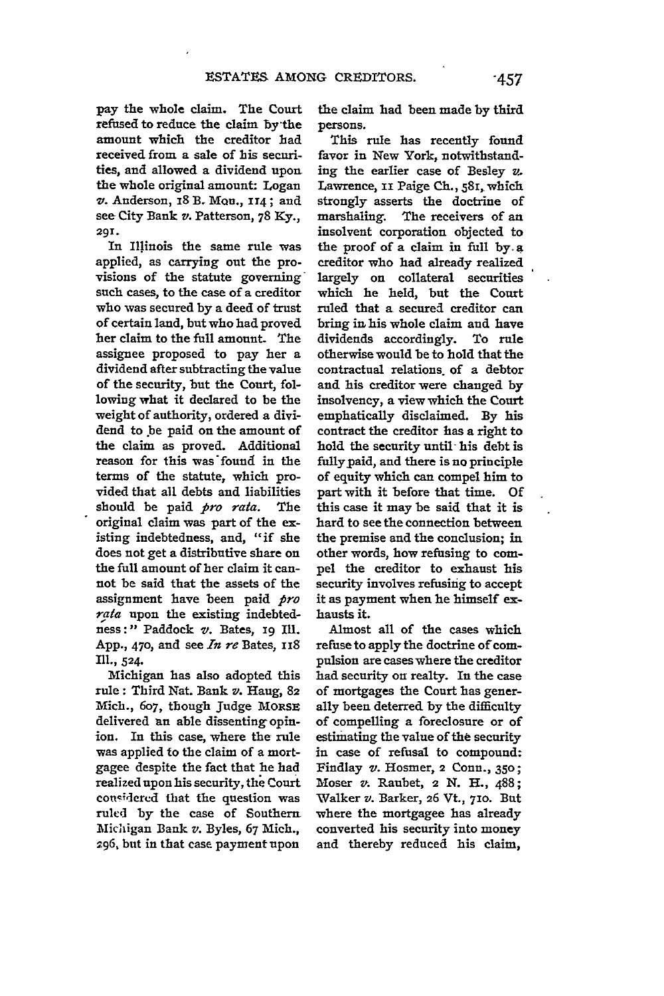pay the whole claim. The Court refused to reduce the claim **by** the amount which the creditor bad received from a sale of his securities, and allowed a dividend upon. the whole original amount: Logan v. Anderson, i8 B. MoD., **IT4;** and see City Bank v. Patterson, **78** Ky., **291.**

In Illinois the same rule was applied, as carrying out the provisions of the statute governing' such cases, to the case of a creditor who was secured **by** a deed of trust of certain land, but who had proved her claim to the full amount. The assignee proposed to pay her a dividend after subtracting the value of the security, but the Court, following what it declared to be the weight of authority, ordered a dividend to be paid on the amount of the claim as proved. Additional reason for this was'found in the terms of the statute, which provided that all debts and liabilities should be paid *pro rata.* The original claim was part of the existing indebtedness, and, "if she does not get a distributive share on the full amount of her claim it cannot be said that the assets of the assignment have been paid *pro 79ala* upon the existing indebtedness:" Paddock v. Bates, **19** Ill. App., **470,** and see *In re* Bates, **iiS** Ill., **524.**

Michigan has also adopted this rule: Third Nat. Bank *v.* Haug, **82** Mich., **607,** though Judge MORSE delivered **an** able dissenting opinion. In this case, where the rule was applied to the claim of a mortgagee despite the fact that he had realized upon his security, the Court considered that the question was ruled **by** the case of Southern Michigan Bank *v.* Byles, 67 Mich., **-96,** but in that case paymentupon

the claim had been made **by** third persons.

This rule has recently found favor in New York, notwithstanding the earlier case of Besley **v,.** Lawrence, ii Paige **Ch., 581,** which strongly asserts the doctrine of marshaling. The receivers of an insolvent corporation objected to the proof of a claim in full **by.** a creditor who had already realized largely on collateral securities which he held, but the Court ruled that a secured creditor can bring in his whole claim and have dividends accordingly. To rule otherwise would be to hold that the contractual relations of a debtor and his creditor were changed **by** insolvency, a view which the Court emphatically disclaimed. **By** his contract the creditor has a right to hold the security until his debt is fullypaid, and there is no principle of equity which can compel him to part with it before that time. Of this case it may be said that it is hard to see the connection between the premise and the conclusion; in other words, how refusing to compel the creditor to exhaust his security involves refusing to accept it as payment when he himself exhausts it.

Almost all of the cases which refuse to apply the doctrine of compulsion are cases where the creditor had security on realty. In the case of mortgages the Court has generally been deterred **by** the difficulty of compelling a foreclosure or of estimating the value of the security in case of refusal to compound: Findlay v. Hosmer, **2** Conn., **350;** Moser v. Raubet, 2 N. **H., 488;** Walker *v.* Barker, 26 Vt., **710.** But where the mortgagee has already converted his security into money and thereby reduced his claim,